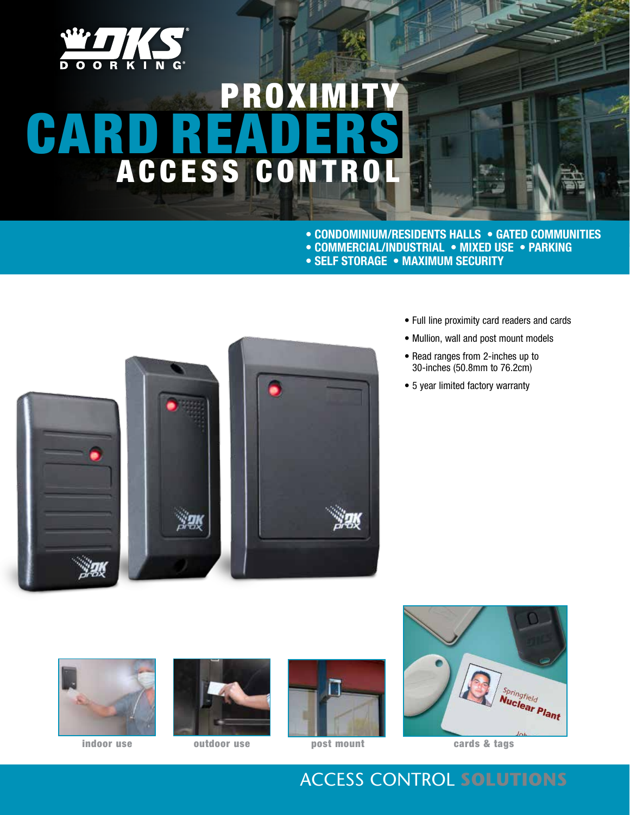

# PROXIM CARD READERS A C C E S S C O N T R

**• Condominium/RESIDENTS HALLS • GATED COMMUNITIES • COMMERCIAL/INDUSTRIAL • MIXED USE • PARKING • SELF STORAGE • MAXIMUM SECURITY**



- Full line proximity card readers and cards
- Mullion, wall and post mount models
- Read ranges from 2-inches up to 30-inches (50.8mm to 76.2cm)
- 5 year limited factory warranty











cards & tags

# Access Control **Solutions**